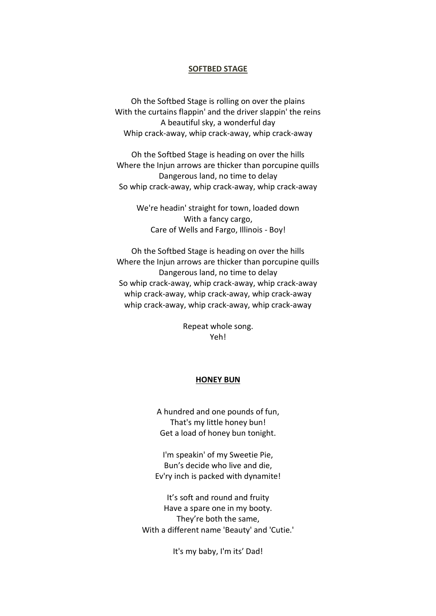### **SOFTBED STAGE**

Oh the Softbed Stage is rolling on over the plains With the curtains flappin' and the driver slappin' the reins A beautiful sky, a wonderful day Whip crack-away, whip crack-away, whip crack-away

Oh the Softbed Stage is heading on over the hills Where the Injun arrows are thicker than porcupine quills Dangerous land, no time to delay So whip crack-away, whip crack-away, whip crack-away

> We're headin' straight for town, loaded down With a fancy cargo, Care of Wells and Fargo, Illinois - Boy!

Oh the Softbed Stage is heading on over the hills Where the Injun arrows are thicker than porcupine quills Dangerous land, no time to delay So whip crack-away, whip crack-away, whip crack-away whip crack-away, whip crack-away, whip crack-away whip crack-away, whip crack-away, whip crack-away

> Repeat whole song. Yeh!

#### **HONEY BUN**

A hundred and one pounds of fun, That's my little honey bun! Get a load of honey bun tonight.

I'm speakin' of my Sweetie Pie, Bun's decide who live and die, Ev'ry inch is packed with dynamite!

It's soft and round and fruity Have a spare one in my booty. They're both the same, With a different name 'Beauty' and 'Cutie.'

It's my baby, I'm its' Dad!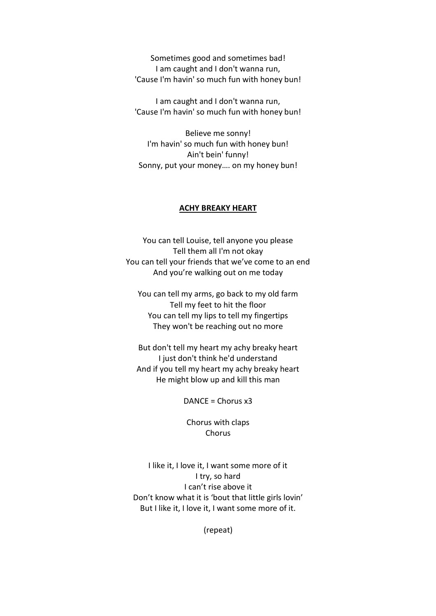Sometimes good and sometimes bad! I am caught and I don't wanna run, 'Cause I'm havin' so much fun with honey bun!

I am caught and I don't wanna run, 'Cause I'm havin' so much fun with honey bun!

Believe me sonny! I'm havin' so much fun with honey bun! Ain't bein' funny! Sonny, put your money…. on my honey bun!

# **ACHY BREAKY HEART**

You can tell Louise, tell anyone you please Tell them all I'm not okay You can tell your friends that we've come to an end And you're walking out on me today

You can tell my arms, go back to my old farm Tell my feet to hit the floor You can tell my lips to tell my fingertips They won't be reaching out no more

But don't tell my heart my achy breaky heart I just don't think he'd understand And if you tell my heart my achy breaky heart He might blow up and kill this man

 $DANCE = Chorus x3$ 

Chorus with claps Chorus

I like it, I love it, I want some more of it I try, so hard I can't rise above it Don't know what it is 'bout that little girls lovin' But I like it, I love it, I want some more of it.

(repeat)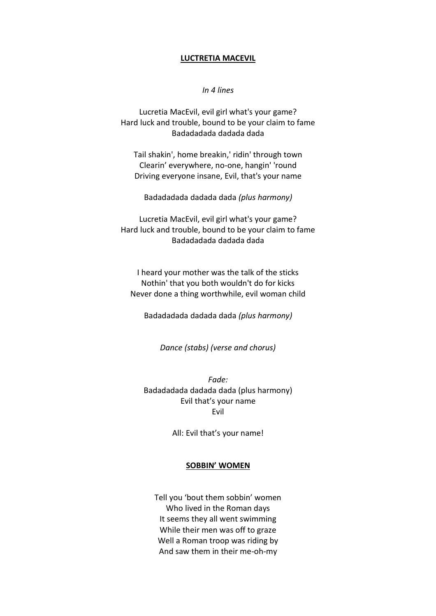# **LUCTRETIA MACEVIL**

### *In 4 lines*

Lucretia MacEvil, evil girl what's your game? Hard luck and trouble, bound to be your claim to fame Badadadada dadada dada

Tail shakin', home breakin,' ridin' through town Clearin' everywhere, no-one, hangin' 'round Driving everyone insane, Evil, that's your name

Badadadada dadada dada *(plus harmony)*

Lucretia MacEvil, evil girl what's your game? Hard luck and trouble, bound to be your claim to fame Badadadada dadada dada

I heard your mother was the talk of the sticks Nothin' that you both wouldn't do for kicks Never done a thing worthwhile, evil woman child

Badadadada dadada dada *(plus harmony)*

*Dance (stabs) (verse and chorus)*

*Fade:* Badadadada dadada dada (plus harmony) Evil that's your name Evil

All: Evil that's your name!

#### **SOBBIN' WOMEN**

Tell you 'bout them sobbin' women Who lived in the Roman days It seems they all went swimming While their men was off to graze Well a Roman troop was riding by And saw them in their me-oh-my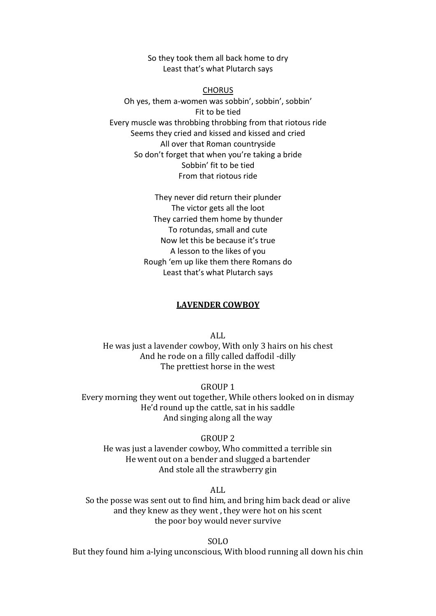So they took them all back home to dry Least that's what Plutarch says

# **CHORUS**

Oh yes, them a-women was sobbin', sobbin', sobbin' Fit to be tied Every muscle was throbbing throbbing from that riotous ride Seems they cried and kissed and kissed and cried All over that Roman countryside So don't forget that when you're taking a bride Sobbin' fit to be tied From that riotous ride

> They never did return their plunder The victor gets all the loot They carried them home by thunder To rotundas, small and cute Now let this be because it's true A lesson to the likes of you Rough 'em up like them there Romans do Least that's what Plutarch says

# **LAVENDER COWBOY**

ALL He was just a lavender cowboy, With only 3 hairs on his chest And he rode on a filly called daffodil -dilly The prettiest horse in the west

# GROUP 1

Every morning they went out together, While others looked on in dismay He'd round up the cattle, sat in his saddle And singing along all the way

GROUP 2 He was just a lavender cowboy, Who committed a terrible sin He went out on a bender and slugged a bartender And stole all the strawberry gin

ALL

So the posse was sent out to find him, and bring him back dead or alive and they knew as they went , they were hot on his scent the poor boy would never survive

SOLO

But they found him a-lying unconscious, With blood running all down his chin